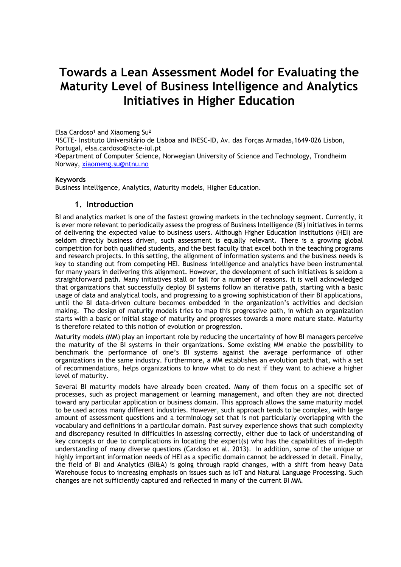# **Towards a Lean Assessment Model for Evaluating the Maturity Level of Business Intelligence and Analytics Initiatives in Higher Education**

Elsa Cardoso<sup>1</sup> and Xiaomeng Su<sup>2</sup>

<sup>1</sup>ISCTE- Instituto Universitário de Lisboa and INESC-ID, Av. das Forças Armadas,1649-026 Lisbon, Portugal, elsa.cardoso@iscte-iul.pt

<sup>2</sup>Department of Computer Science, Norwegian University of Science and Technology, Trondheim Norway, xiaomeng.su@ntnu.no

#### **Keywords**

Business Intelligence, Analytics, Maturity models, Higher Education.

#### **1. Introduction**

BI and analytics market is one of the fastest growing markets in the technology segment. Currently, it is ever more relevant to periodically assess the progress of Business Intelligence (BI) initiatives in terms of delivering the expected value to business users. Although Higher Education Institutions (HEI) are seldom directly business driven, such assessment is equally relevant. There is a growing global competition for both qualified students, and the best faculty that excel both in the teaching programs and research projects. In this setting, the alignment of information systems and the business needs is key to standing out from competing HEI. Business intelligence and analytics have been instrumental for many years in delivering this alignment. However, the development of such initiatives is seldom a straightforward path. Many initiatives stall or fail for a number of reasons. It is well acknowledged that organizations that successfully deploy BI systems follow an iterative path, starting with a basic usage of data and analytical tools, and progressing to a growing sophistication of their BI applications, until the BI data-driven culture becomes embedded in the organization's activities and decision making. The design of maturity models tries to map this progressive path, in which an organization starts with a basic or initial stage of maturity and progresses towards a more mature state. Maturity is therefore related to this notion of evolution or progression.

Maturity models (MM) play an important role by reducing the uncertainty of how BI managers perceive the maturity of the BI systems in their organizations. Some existing MM enable the possibility to benchmark the performance of one's BI systems against the average performance of other organizations in the same industry. Furthermore, a MM establishes an evolution path that, with a set of recommendations, helps organizations to know what to do next if they want to achieve a higher level of maturity.

Several BI maturity models have already been created. Many of them focus on a specific set of processes, such as project management or learning management, and often they are not directed toward any particular application or business domain. This approach allows the same maturity model to be used across many different industries. However, such approach tends to be complex, with large amount of assessment questions and a terminology set that is not particularly overlapping with the vocabulary and definitions in a particular domain. Past survey experience shows that such complexity and discrepancy resulted in difficulties in assessing correctly, either due to lack of understanding of key concepts or due to complications in locating the expert(s) who has the capabilities of in-depth understanding of many diverse questions (Cardoso et al. 2013). In addition, some of the unique or highly important information needs of HEI as a specific domain cannot be addressed in detail. Finally, the field of BI and Analytics (BI&A) is going through rapid changes, with a shift from heavy Data Warehouse focus to increasing emphasis on issues such as IoT and Natural Language Processing. Such changes are not sufficiently captured and reflected in many of the current BI MM.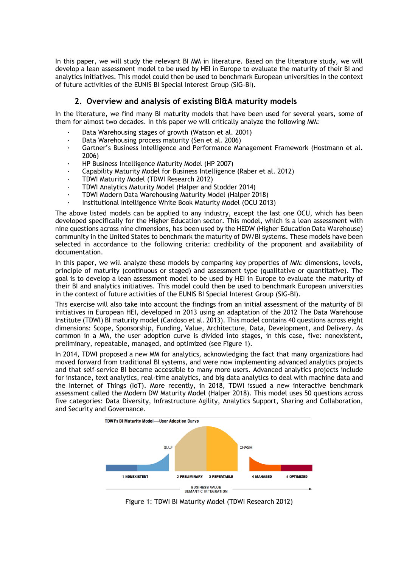In this paper, we will study the relevant BI MM in literature. Based on the literature study, we will develop a lean assessment model to be used by HEI in Europe to evaluate the maturity of their BI and analytics initiatives. This model could then be used to benchmark European universities in the context of future activities of the EUNIS BI Special Interest Group (SIG-BI).

## **2. Overview and analysis of existing BI&A maturity models**

In the literature, we find many BI maturity models that have been used for several years, some of them for almost two decades. In this paper we will critically analyze the following MM:

- Data Warehousing stages of growth (Watson et al. 2001)
- Data Warehousing process maturity (Sen et al. 2006)
- Gartner's Business Intelligence and Performance Management Framework (Hostmann et al. 2006)
- · HP Business Intelligence Maturity Model (HP 2007)
- · Capability Maturity Model for Business Intelligence (Raber et al. 2012)
- · TDWI Maturity Model (TDWI Research 2012)
- · TDWI Analytics Maturity Model (Halper and Stodder 2014)
- · TDWI Modern Data Warehousing Maturity Model (Halper 2018)
- · Institutional Intelligence White Book Maturity Model (OCU 2013)

The above listed models can be applied to any industry, except the last one OCU, which has been developed specifically for the Higher Education sector. This model, which is a lean assessment with nine questions across nine dimensions, has been used by the HEDW (Higher Education Data Warehouse) community in the United States to benchmark the maturity of DW/BI systems. These models have been selected in accordance to the following criteria: credibility of the proponent and availability of documentation.

In this paper, we will analyze these models by comparing key properties of MM: dimensions, levels, principle of maturity (continuous or staged) and assessment type (qualitative or quantitative). The goal is to develop a lean assessment model to be used by HEI in Europe to evaluate the maturity of their BI and analytics initiatives. This model could then be used to benchmark European universities in the context of future activities of the EUNIS BI Special Interest Group (SIG-BI).

This exercise will also take into account the findings from an initial assessment of the maturity of BI initiatives in European HEI, developed in 2013 using an adaptation of the 2012 The Data Warehouse Institute (TDWI) BI maturity model (Cardoso et al. 2013). This model contains 40 questions across eight dimensions: Scope, Sponsorship, Funding, Value, Architecture, Data, Development, and Delivery. As common in a MM, the user adoption curve is divided into stages, in this case, five: nonexistent, preliminary, repeatable, managed, and optimized (see Figure 1).

In 2014, TDWI proposed a new MM for analytics, acknowledging the fact that many organizations had moved forward from traditional BI systems, and were now implementing advanced analytics projects and that self-service BI became accessible to many more users. Advanced analytics projects include for instance, text analytics, real-time analytics, and big data analytics to deal with machine data and the Internet of Things (IoT). More recently, in 2018, TDWI issued a new interactive benchmark assessment called the Modern DW Maturity Model (Halper 2018). This model uses 50 questions across five categories: Data Diversity, Infrastructure Agility, Analytics Support, Sharing and Collaboration, and Security and Governance.



Figure 1: TDWI BI Maturity Model (TDWI Research 2012)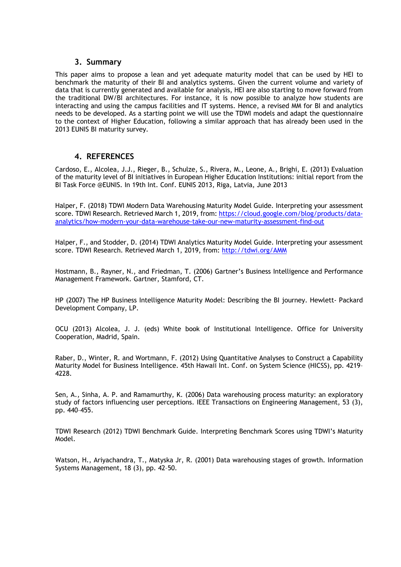#### **3. Summary**

This paper aims to propose a lean and yet adequate maturity model that can be used by HEI to benchmark the maturity of their BI and analytics systems. Given the current volume and variety of data that is currently generated and available for analysis, HEI are also starting to move forward from the traditional DW/BI architectures. For instance, it is now possible to analyze how students are interacting and using the campus facilities and IT systems. Hence, a revised MM for BI and analytics needs to be developed. As a starting point we will use the TDWI models and adapt the questionnaire to the context of Higher Education, following a similar approach that has already been used in the 2013 EUNIS BI maturity survey.

### **4. REFERENCES**

Cardoso, E., Alcolea, J.J., Rieger, B., Schulze, S., Rivera, M., Leone, A., Brighi, E. (2013) Evaluation of the maturity level of BI initiatives in European Higher Education Institutions: initial report from the BI Task Force @EUNIS. In 19th Int. Conf. EUNIS 2013, Riga, Latvia, June 2013

Halper, F. (2018) TDWI Modern Data Warehousing Maturity Model Guide. Interpreting your assessment score. TDWI Research. Retrieved March 1, 2019, from: https://cloud.google.com/blog/products/dataanalytics/how-modern-your-data-warehouse-take-our-new-maturity-assessment-find-out

Halper, F., and Stodder, D. (2014) TDWI Analytics Maturity Model Guide. Interpreting your assessment score. TDWI Research. Retrieved March 1, 2019, from: http://tdwi.org/AMM

Hostmann, B., Rayner, N., and Friedman, T. (2006) Gartner's Business Intelligence and Performance Management Framework. Gartner, Stamford, CT.

HP (2007) The HP Business Intelligence Maturity Model: Describing the BI journey. Hewlett- Packard Development Company, LP.

OCU (2013) Alcolea, J. J. (eds) White book of Institutional Intelligence. Office for University Cooperation, Madrid, Spain.

Raber, D., Winter, R. and Wortmann, F. (2012) Using Quantitative Analyses to Construct a Capability Maturity Model for Business Intelligence. 45th Hawaii Int. Conf. on System Science (HICSS), pp. 4219– 4228.

Sen, A., Sinha, A. P. and Ramamurthy, K. (2006) Data warehousing process maturity: an exploratory study of factors influencing user perceptions. IEEE Transactions on Engineering Management, 53 (3), pp. 440–455.

TDWI Research (2012) TDWI Benchmark Guide. Interpreting Benchmark Scores using TDWI's Maturity Model.

Watson, H., Ariyachandra, T., Matyska Jr, R. (2001) Data warehousing stages of growth. Information Systems Management, 18 (3), pp. 42–50.